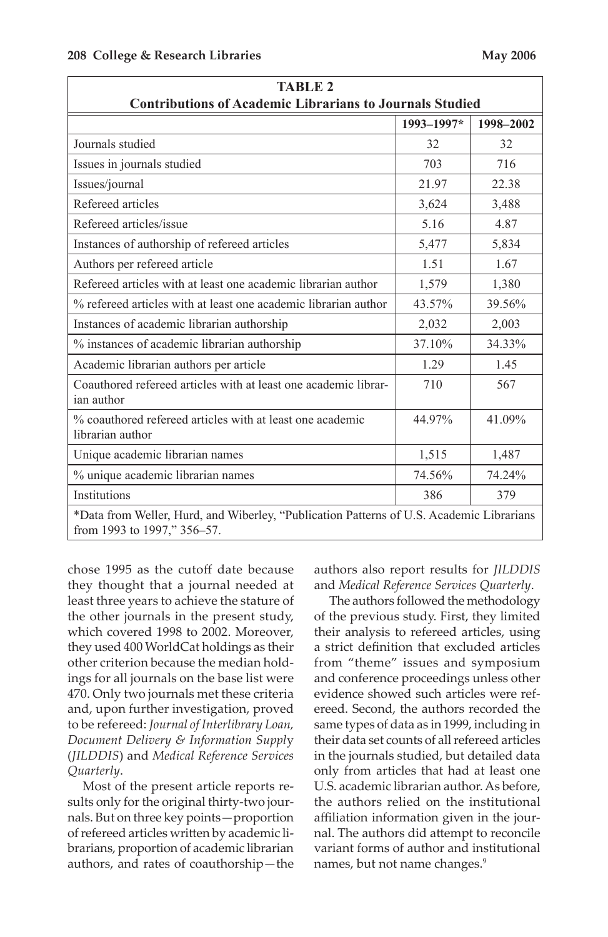| <b>TABLE 2</b><br><b>Contributions of Academic Librarians to Journals Studied</b>                                       |            |           |  |  |  |  |
|-------------------------------------------------------------------------------------------------------------------------|------------|-----------|--|--|--|--|
|                                                                                                                         | 1993-1997* | 1998-2002 |  |  |  |  |
| Journals studied                                                                                                        | 32         | 32        |  |  |  |  |
| Issues in journals studied                                                                                              | 703        | 716       |  |  |  |  |
| Issues/journal                                                                                                          | 21.97      | 22.38     |  |  |  |  |
| Refereed articles                                                                                                       | 3,624      | 3,488     |  |  |  |  |
| Refereed articles/issue                                                                                                 | 5.16       | 4.87      |  |  |  |  |
| Instances of authorship of refereed articles                                                                            | 5,477      | 5,834     |  |  |  |  |
| Authors per refereed article                                                                                            | 1.51       | 1.67      |  |  |  |  |
| Refereed articles with at least one academic librarian author                                                           | 1,579      | 1,380     |  |  |  |  |
| % refereed articles with at least one academic librarian author                                                         | 43.57%     | 39.56%    |  |  |  |  |
| Instances of academic librarian authorship                                                                              | 2,032      | 2,003     |  |  |  |  |
| % instances of academic librarian authorship                                                                            | 37.10%     | 34.33%    |  |  |  |  |
| Academic librarian authors per article                                                                                  | 1.29       | 1.45      |  |  |  |  |
| Coauthored refereed articles with at least one academic librar-<br>ian author                                           | 710        | 567       |  |  |  |  |
| % coauthored refereed articles with at least one academic<br>librarian author                                           | 44.97%     | 41.09%    |  |  |  |  |
| Unique academic librarian names                                                                                         | 1,515      | 1,487     |  |  |  |  |
| % unique academic librarian names                                                                                       | 74.56%     | 74.24%    |  |  |  |  |
| Institutions                                                                                                            | 386        | 379       |  |  |  |  |
| *Data from Weller, Hurd, and Wiberley, "Publication Patterns of U.S. Academic Librarians<br>from 1993 to 1997," 356–57. |            |           |  |  |  |  |

 chose 1995 as the cutoff date because they thought that a journal needed at least three years to achieve the stature of the other journals in the present study, which covered 1998 to 2002. Moreover, they used 400 WorldCat holdings as their other criterion because the median hold- ings for all journals on the base list were 470. Only two journals met these criteria and, upon further investigation, proved to be refereed: *Journal of Interlibrary Loan, Document Delivery & Information Suppl*y (*JILDDIS*) and *Medical Reference Services Quarterly*.

 nals. But on three key points—proportion of refereed articles written by academic li- brarians, proportion of academic librarian Most of the present article reports results only for the original thirty-two jourauthors, and rates of coauthorship—the

 authors also report results for *JILDDIS*  and *Medical Reference Services Quarterly*.

 The authors followed the methodology a strict definition that excluded articles from "theme" issues and symposium same types of data as in 1999, including in their data set counts of all refereed articles only from articles that had at least one U.S. academic librarian author. As before, the authors relied on the institutional of the previous study. First, they limited their analysis to refereed articles, using and conference proceedings unless other evidence showed such articles were refereed. Second, the authors recorded the in the journals studied, but detailed data affiliation information given in the journal. The authors did attempt to reconcile variant forms of author and institutional names, but not name changes.<sup>9</sup>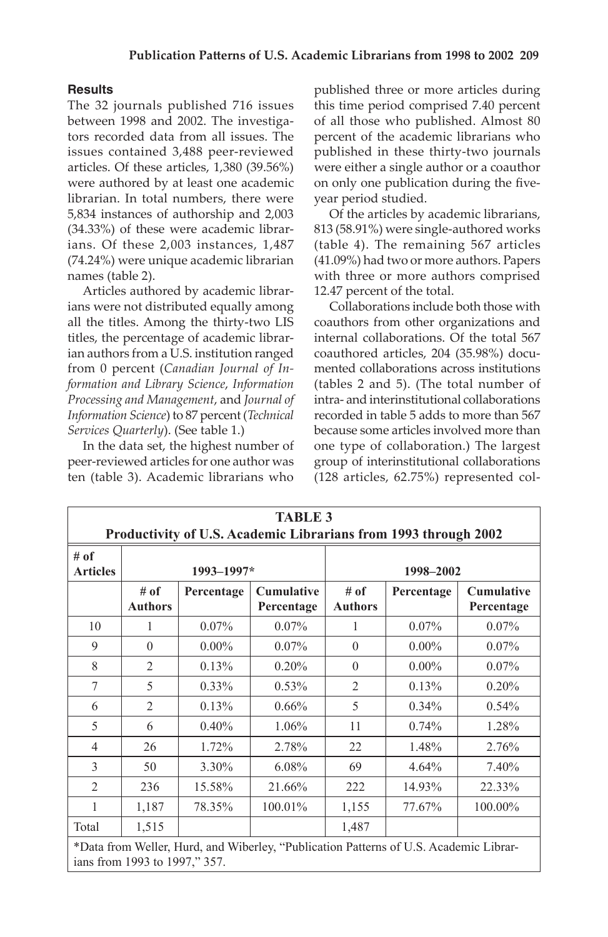# **Results**

 The 32 journals published 716 issues between 1998 and 2002. The investiga- tors recorded data from all issues. The issues contained 3,488 peer-reviewed librarian. In total numbers, there were ians. Of these 2,003 instances, 1,487 articles. Of these articles, 1,380 (39.56%) were authored by at least one academic 5,834 instances of authorship and 2,003 (34.33%) of these were academic librar-(74.24%) were unique academic librarian names (table 2).

 all the titles. Among the thirty-two LIS ian authors from a U.S. institution ranged from 0 percent (*Canadian Journal of In- Processing and Management*, and *Journal of Information Science*) to 87 percent (*Technical*  Articles authored by academic librarians were not distributed equally among titles, the percentage of academic librar*formation and Library Science*, *Information Services Quarterly*). (See table 1.)

 peer-reviewed articles for one author was ten (table 3). Academic librarians who In the data set, the highest number of

 of all those who published. Almost 80 percent of the academic librarians who published in these thirty-two journals published three or more articles during this time period comprised 7.40 percent were either a single author or a coauthor on only one publication during the fiveyear period studied.

 813 (58.91%) were single-authored works (table 4). The remaining 567 articles (41.09%) had two or more authors. Papers with three or more authors comprised Of the articles by academic librarians, 12.47 percent of the total.

 Collaborations include both those with coauthors from other organizations and internal collaborations. Of the total 567 coauthored articles, 204 (35.98%) docu- mented collaborations across institutions (tables 2 and 5). (The total number of intra- and interinstitutional collaborations recorded in table 5 adds to more than 567 because some articles involved more than one type of collaboration.) The largest group of interinstitutional collaborations (128 articles, 62.75%) represented col-

| <b>TABLE 3</b>                                                  |                        |            |                                 |                        |            |                                 |  |
|-----------------------------------------------------------------|------------------------|------------|---------------------------------|------------------------|------------|---------------------------------|--|
| Productivity of U.S. Academic Librarians from 1993 through 2002 |                        |            |                                 |                        |            |                                 |  |
| # of<br><b>Articles</b>                                         | $1993 - 1997*$         |            |                                 | 1998-2002              |            |                                 |  |
|                                                                 | # of<br><b>Authors</b> | Percentage | <b>Cumulative</b><br>Percentage | # of<br><b>Authors</b> | Percentage | <b>Cumulative</b><br>Percentage |  |
| 10                                                              | 1                      | $0.07\%$   | $0.07\%$                        | 1                      | 0.07%      | $0.07\%$                        |  |
| 9                                                               | $\Omega$               | $0.00\%$   | $0.07\%$                        | $\Omega$               | $0.00\%$   | $0.07\%$                        |  |
| $\mathbf{8}$                                                    | $\overline{2}$         | 0.13%      | $0.20\%$                        | $\Omega$               | $0.00\%$   | $0.07\%$                        |  |
| 7                                                               | 5                      | $0.33\%$   | $0.53\%$                        | $\overline{2}$         | 0.13%      | 0.20%                           |  |
| 6                                                               | $\overline{c}$         | 0.13%      | $0.66\%$                        | 5                      | $0.34\%$   | 0.54%                           |  |
| 5                                                               | 6                      | $0.40\%$   | 1.06%                           | 11                     | 0.74%      | 1.28%                           |  |
| $\overline{4}$                                                  | 26                     | 1.72%      | 2.78%                           | 22                     | 1.48%      | 2.76%                           |  |
| 3                                                               | 50                     | 3.30%      | 6.08%                           | 69                     | 4.64%      | 7.40%                           |  |
| $\overline{2}$                                                  | 236                    | 15.58%     | 21.66%                          | 222                    | 14.93%     | 22.33%                          |  |
| 1                                                               | 1,187                  | 78.35%     | $100.01\%$                      | 1,155                  | 77.67%     | 100.00%                         |  |
| Total                                                           | 1,515                  |            |                                 | 1,487                  |            |                                 |  |

\*Data from Weller, Hurd, and Wiberley, "Publication Patterns of U.S. Academic Librarians from 1993 to 1997," 357.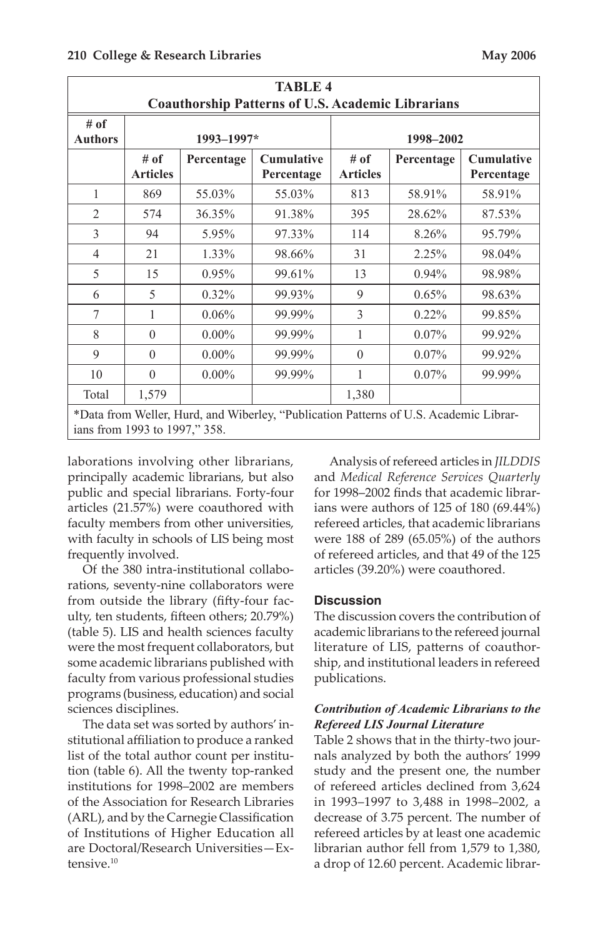|                                                                                                                        |                         |            | <b>TABLE 4</b>                  |                         |            |                                 |  |
|------------------------------------------------------------------------------------------------------------------------|-------------------------|------------|---------------------------------|-------------------------|------------|---------------------------------|--|
| <b>Coauthorship Patterns of U.S. Academic Librarians</b>                                                               |                         |            |                                 |                         |            |                                 |  |
| # of<br><b>Authors</b>                                                                                                 | 1993-1997*              |            |                                 | 1998-2002               |            |                                 |  |
|                                                                                                                        | # of<br><b>Articles</b> | Percentage | <b>Cumulative</b><br>Percentage | # of<br><b>Articles</b> | Percentage | <b>Cumulative</b><br>Percentage |  |
| 1                                                                                                                      | 869                     | 55.03%     | 55.03%                          | 813                     | 58.91%     | 58.91%                          |  |
| $\overline{2}$                                                                                                         | 574                     | 36.35%     | 91.38%                          | 395                     | 28.62%     | 87.53%                          |  |
| 3                                                                                                                      | 94                      | 5.95%      | 97.33%                          | 114                     | 8.26%      | 95.79%                          |  |
| $\overline{4}$                                                                                                         | 21                      | 1.33%      | 98.66%                          | 31                      | 2.25%      | 98.04%                          |  |
| 5                                                                                                                      | 15                      | $0.95\%$   | 99.61%                          | 13                      | $0.94\%$   | 98.98%                          |  |
| 6                                                                                                                      | 5                       | $0.32\%$   | 99.93%                          | 9                       | 0.65%      | 98.63%                          |  |
| 7                                                                                                                      | 1                       | 0.06%      | 99.99%                          | 3                       | $0.22\%$   | 99.85%                          |  |
| 8                                                                                                                      | $\theta$                | $0.00\%$   | 99.99%                          | 1                       | $0.07\%$   | 99.92%                          |  |
| 9                                                                                                                      | $\theta$                | $0.00\%$   | 99.99%                          | $\theta$                | $0.07\%$   | 99.92%                          |  |
| 10                                                                                                                     | $\theta$                | $0.00\%$   | 99.99%                          | 1                       | $0.07\%$   | 99.99%                          |  |
| Total                                                                                                                  | 1,579                   |            |                                 | 1,380                   |            |                                 |  |
| *Data from Weller, Hurd, and Wiberley, "Publication Patterns of U.S. Academic Librar-<br>ians from 1993 to 1997," 358. |                         |            |                                 |                         |            |                                 |  |

 laborations involving other librarians, principally academic librarians, but also public and special librarians. Forty-four articles (21.57%) were coauthored with faculty members from other universities, with faculty in schools of LIS being most frequently involved.

from outside the library (fifty-four fac- were the most frequent collaborators, but some academic librarians published with programs (business, education) and social Of the 380 intra-institutional collaborations, seventy-nine collaborators were ulty, ten students, fifteen others; 20.79%) (table 5). LIS and health sciences faculty faculty from various professional studies sciences disciplines.

 institutions for 1998–2002 are members (ARL), and by the Carnegie Classification of Institutions of Higher Education all The data set was sorted by authors'institutional affiliation to produce a ranked list of the total author count per institution (table 6). All the twenty top-ranked of the Association for Research Libraries are Doctoral/Research Universities—Extensive.<sup>10</sup>

 Analysis of refereed articles in *JILDDIS*  and *Medical Reference Services Quarterly*  refereed articles, that academic librarians for 1998–2002 finds that academic librarians were authors of 125 of 180 (69.44%) were 188 of 289 (65.05%) of the authors of refereed articles, and that 49 of the 125 articles (39.20%) were coauthored.

## **Discussion**

 academic librarians to the refereed journal literature of LIS, patterns of coauthor-The discussion covers the contribution of ship, and institutional leaders in refereed publications.

# *Contribution of Academic Librarians to the Refereed LIS Journal Literature*

 of refereed articles declined from 3,624 in 1993–1997 to 3,488 in 1998–2002, a Table 2 shows that in the thirty-two journals analyzed by both the authors' 1999 study and the present one, the number decrease of 3.75 percent. The number of refereed articles by at least one academic librarian author fell from 1,579 to 1,380, a drop of 12.60 percent. Academic librar-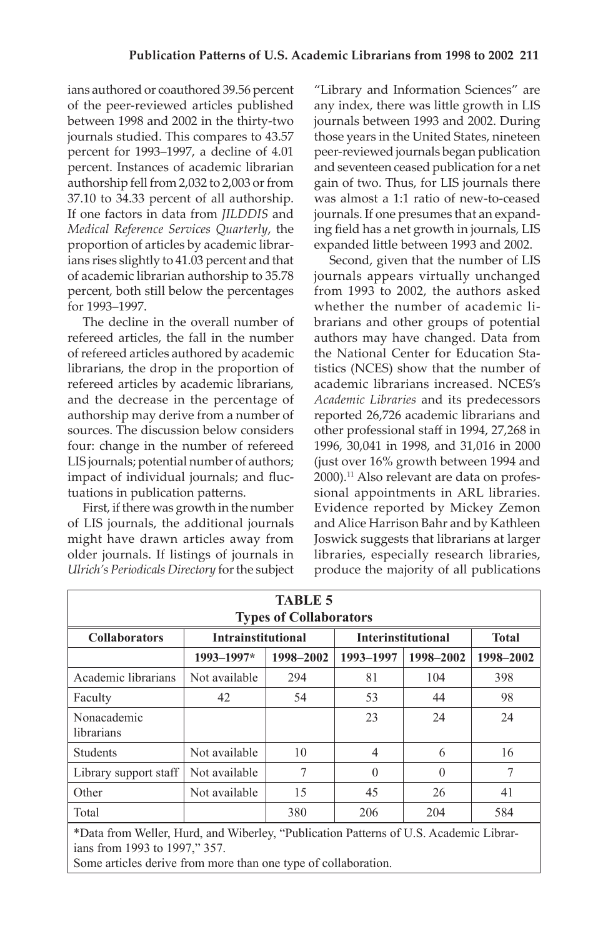ians authored or coauthored 39.56 percent of the peer-reviewed articles published authorship fell from 2,032 to 2,003 or from  *Medical Reference Services Quarterly*, the ians rises slightly to 41.03 percent and that between 1998 and 2002 in the thirty-two journals studied. This compares to 43.57 percent for 1993–1997, a decline of 4.01 percent. Instances of academic librarian 37.10 to 34.33 percent of all authorship. If one factors in data from *JILDDIS* and proportion of articles by academic librarof academic librarian authorship to 35.78 percent, both still below the percentages for 1993–1997.

 of refereed articles authored by academic and the decrease in the percentage of four: change in the number of refereed LIS journals; potential number of authors; The decline in the overall number of refereed articles, the fall in the number librarians, the drop in the proportion of refereed articles by academic librarians, authorship may derive from a number of sources. The discussion below considers impact of individual journals; and fluctuations in publication patterns.

 First, if there was growth in the number of LIS journals, the additional journals might have drawn articles away from older journals. If listings of journals in  *Ulrich's Periodicals Directory* for the subject

 peer-reviewed journals began publication and seventeen ceased publication for a net journals. If one presumes that an expand-"Library and Information Sciences" are any index, there was little growth in LIS journals between 1993 and 2002. During those years in the United States, nineteen gain of two. Thus, for LIS journals there was almost a 1:1 ratio of new-to-ceased ing field has a net growth in journals, LIS expanded little between 1993 and 2002.

 journals appears virtually unchanged from 1993 to 2002, the authors asked whether the number of academic li- brarians and other groups of potential authors may have changed. Data from the National Center for Education Sta- academic librarians increased. NCES's *Academic Libraries* and its predecessors sional appointments in ARL libraries. Evidence reported by Mickey Zemon and Alice Harrison Bahr and by Kathleen libraries, especially research libraries, Second, given that the number of LIS tistics (NCES) show that the number of reported 26,726 academic librarians and other professional staff in 1994, 27,268 in 1996, 30,041 in 1998, and 31,016 in 2000 (just over 16% growth between 1994 and 2000).<sup>11</sup> Also relevant are data on profes-Joswick suggests that librarians at larger produce the majority of all publications

| <b>TABLE 5</b><br><b>Types of Collaborators</b>                                                                                                                                          |                           |           |                           |              |           |  |
|------------------------------------------------------------------------------------------------------------------------------------------------------------------------------------------|---------------------------|-----------|---------------------------|--------------|-----------|--|
| <b>Collaborators</b>                                                                                                                                                                     | <b>Intrainstitutional</b> |           | <b>Interinstitutional</b> | <b>Total</b> |           |  |
|                                                                                                                                                                                          | 1993-1997*                | 1998-2002 | 1993-1997                 | 1998-2002    | 1998-2002 |  |
| Academic librarians                                                                                                                                                                      | Not available             | 294       | 81                        | 104          | 398       |  |
| Faculty                                                                                                                                                                                  | 42                        | 54        | 53                        | 44           | 98        |  |
| Nonacademic<br>librarians                                                                                                                                                                |                           |           | 23                        | 24           | 24        |  |
| Students                                                                                                                                                                                 | Not available             | 10        | $\overline{4}$            | 6            | 16        |  |
| Library support staff                                                                                                                                                                    | Not available             | 7         | $\Omega$                  | $\Omega$     | 7         |  |
| Other                                                                                                                                                                                    | Not available             | 15        | 45                        | 26           | 41        |  |
| Total                                                                                                                                                                                    |                           | 380       | 206                       | 204          | 584       |  |
| *Data from Weller, Hurd, and Wiberley, "Publication Patterns of U.S. Academic Librar-<br>ians from 1993 to 1997," 357.<br>Some articles derive from more than one type of collaboration. |                           |           |                           |              |           |  |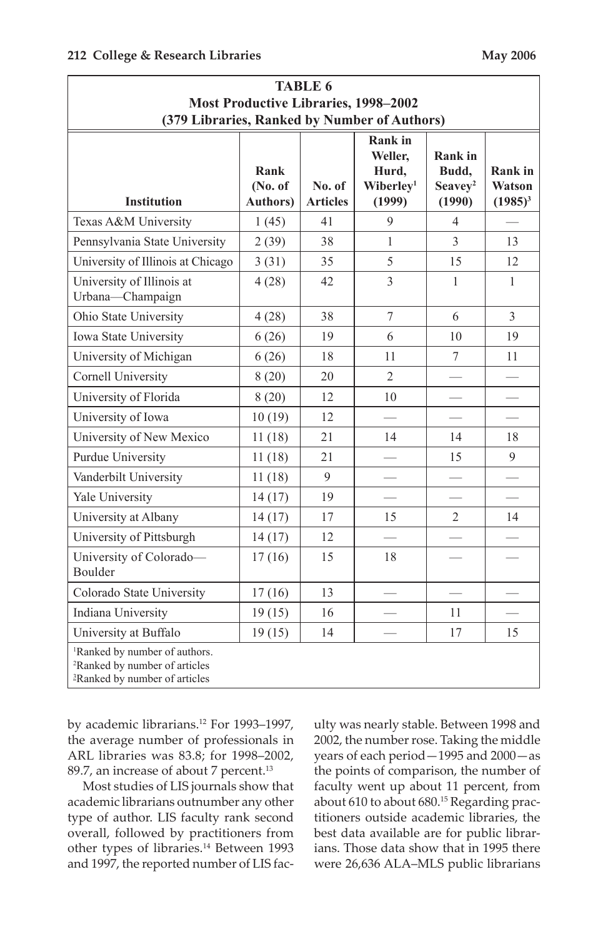| <b>TABLE 6</b>                                                                                                                      |                                     |                           |                                                                       |                                                          |                                 |  |
|-------------------------------------------------------------------------------------------------------------------------------------|-------------------------------------|---------------------------|-----------------------------------------------------------------------|----------------------------------------------------------|---------------------------------|--|
| <b>Most Productive Libraries, 1998-2002</b>                                                                                         |                                     |                           |                                                                       |                                                          |                                 |  |
| (379 Libraries, Ranked by Number of Authors)                                                                                        |                                     |                           |                                                                       |                                                          |                                 |  |
| <b>Institution</b>                                                                                                                  | Rank<br>(No. of<br><b>Authors</b> ) | No. of<br><b>Articles</b> | <b>Rank</b> in<br>Weller,<br>Hurd.<br>Wiberlev <sup>1</sup><br>(1999) | <b>Rank</b> in<br>Budd.<br>Seavey <sup>2</sup><br>(1990) | Rank in<br>Watson<br>$(1985)^3$ |  |
| Texas A&M University                                                                                                                | 1(45)                               | 41                        | 9                                                                     | $\overline{4}$                                           |                                 |  |
| Pennsylvania State University                                                                                                       | 2(39)                               | 38                        | $\mathbf{1}$                                                          | $\overline{\mathcal{E}}$                                 | 13                              |  |
| University of Illinois at Chicago                                                                                                   | 3(31)                               | 35                        | 5                                                                     | 15                                                       | 12                              |  |
| University of Illinois at<br>Urbana-Champaign                                                                                       | 4(28)                               | 42                        | $\overline{3}$                                                        | 1                                                        | $\mathbf{1}$                    |  |
| Ohio State University                                                                                                               | 4(28)                               | 38                        | $\overline{7}$                                                        | 6                                                        | $\overline{3}$                  |  |
| Iowa State University                                                                                                               | 6(26)                               | 19                        | 6                                                                     | 10                                                       | 19                              |  |
| University of Michigan                                                                                                              | 6(26)                               | 18                        | 11                                                                    | 7                                                        | 11                              |  |
| Cornell University                                                                                                                  | 8(20)                               | 20                        | $\overline{2}$                                                        |                                                          |                                 |  |
| University of Florida                                                                                                               | 8(20)                               | 12                        | 10                                                                    |                                                          |                                 |  |
| University of Iowa                                                                                                                  | 10(19)                              | 12                        |                                                                       |                                                          |                                 |  |
| University of New Mexico                                                                                                            | 11(18)                              | 21                        | 14                                                                    | 14                                                       | 18                              |  |
| Purdue University                                                                                                                   | 11(18)                              | 21                        |                                                                       | 15                                                       | 9                               |  |
| Vanderbilt University                                                                                                               | 11(18)                              | $\mathbf{Q}$              |                                                                       |                                                          |                                 |  |
| Yale University                                                                                                                     | 14(17)                              | 19                        |                                                                       |                                                          |                                 |  |
| University at Albany                                                                                                                | 14(17)                              | 17                        | 15                                                                    | $\overline{2}$                                           | 14                              |  |
| University of Pittsburgh                                                                                                            | 14(17)                              | 12                        |                                                                       |                                                          |                                 |  |
| University of Colorado-<br>Boulder                                                                                                  | 17(16)                              | 15                        | 18                                                                    |                                                          |                                 |  |
| Colorado State University                                                                                                           | 17(16)                              | 13                        |                                                                       |                                                          |                                 |  |
| Indiana University                                                                                                                  | 19(15)                              | 16                        |                                                                       | 11                                                       |                                 |  |
| University at Buffalo                                                                                                               | 19(15)                              | 14                        |                                                                       | 17                                                       | 15                              |  |
| <sup>1</sup> Ranked by number of authors.<br><sup>2</sup> Ranked by number of articles<br><sup>3</sup> Ranked by number of articles |                                     |                           |                                                                       |                                                          |                                 |  |

 the average number of professionals in ARL libraries was 83.8; for 1998–2002, by academic librarians.<sup>12</sup> For 1993-1997, 89.7, an increase of about 7 percent.<sup>13</sup>

 academic librarians outnumber any other overall, followed by practitioners from other types of libraries.<sup>14</sup> Between 1993 and 1997, the reported number of LIS fac-Most studies of LIS journals show that type of author. LIS faculty rank second

 2002, the number rose. Taking the middle ulty was nearly stable. Between 1998 and years of each period—1995 and 2000—as the points of comparison, the number of faculty went up about 11 percent, from about 610 to about 680.<sup>15</sup> Regarding practitioners outside academic libraries, the best data available are for public librarians. Those data show that in 1995 there were 26,636 ALA–MLS public librarians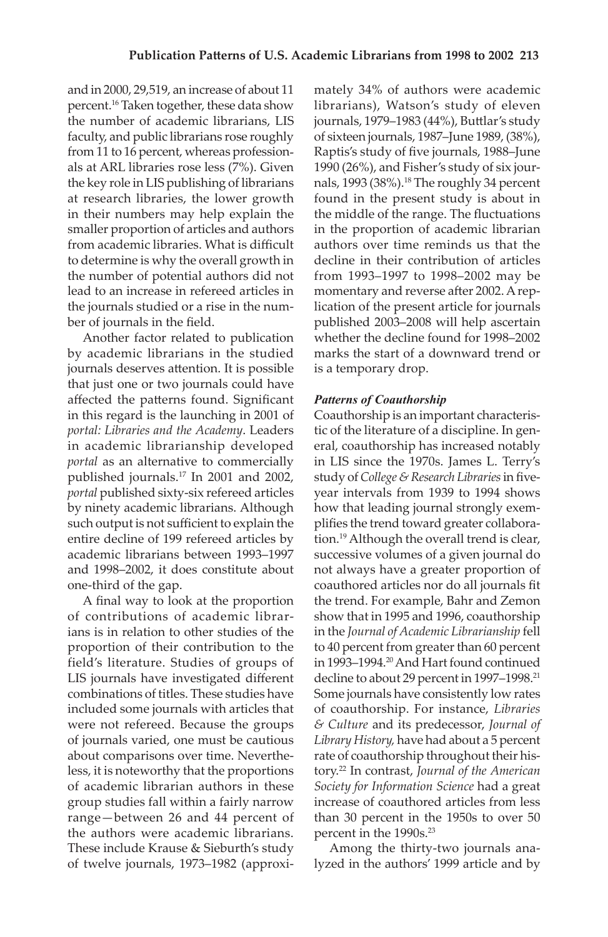and in 2000, 29,519, an increase of about 11 percent.16 Taken together, these data show the number of academic librarians, LIS faculty, and public librarians rose roughly from 11 to 16 percent, whereas profession- the key role in LIS publishing of librarians at research libraries, the lower growth in their numbers may help explain the smaller proportion of articles and authors to determine is why the overall growth in als at ARL libraries rose less (7%). Given from academic libraries. What is difficult the number of potential authors did not lead to an increase in refereed articles in the journals studied or a rise in the number of journals in the field.

 by academic librarians in the studied affected the patterns found. Significant in academic librarianship developed published journals.17 In 2001 and 2002, *portal* published sixty-six refereed articles such output is not sufficient to explain the academic librarians between 1993–1997 Another factor related to publication journals deserves attention. It is possible that just one or two journals could have in this regard is the launching in 2001 of *portal: Libraries and the Academy*. Leaders *portal* as an alternative to commercially by ninety academic librarians. Although entire decline of 199 refereed articles by and 1998–2002, it does constitute about one-third of the gap.

 of contributions of academic librar- proportion of their contribution to the field's literature. Studies of groups of combinations of titles. These studies have were not refereed. Because the groups of academic librarian authors in these range—between 26 and 44 percent of the authors were academic librarians. of twelve journals, 1973–1982 (approxi-A final way to look at the proportion ians is in relation to other studies of the LIS journals have investigated different included some journals with articles that of journals varied, one must be cautious about comparisons over time. Nevertheless, it is noteworthy that the proportions group studies fall within a fairly narrow These include Krause & Sieburth's study

 mately 34% of authors were academic librarians), Watson's study of eleven journals, 1979–1983 (44%), Buttlar's study of sixteen journals, 1987–June 1989, (38%), nals, 1993 (38%).<sup>18</sup> The roughly 34 percent found in the present study is about in in the proportion of academic librarian authors over time reminds us that the decline in their contribution of articles from 1993–1997 to 1998–2002 may be momentary and reverse after 2002. A rep-Raptis's study of five journals, 1988–June 1990 (26%), and Fisher's study of six jourthe middle of the range. The fluctuations lication of the present article for journals published 2003–2008 will help ascertain whether the decline found for 1998–2002 marks the start of a downward trend or is a temporary drop.

### *Patterns of Coauthorship*

 Coauthorship is an important characteris- in LIS since the 1970s. James L. Terry's study of *College & Research Libraries* in five- year intervals from 1939 to 1994 shows plifies the trend toward greater collabora- show that in 1995 and 1996, coauthorship in the *Journal of Academic Librarianship* fell to 40 percent from greater than 60 percent in 1993–1994.20 And Hart found continued decline to about 29 percent in 1997–1998.<sup>21</sup> Some journals have consistently low rates of coauthorship. For instance, *Libraries Library History,* have had about a 5 percent rate of coauthorship throughout their his- than 30 percent in the 1950s to over 50 tic of the literature of a discipline. In general, coauthorship has increased notably how that leading journal strongly exemtion.19 Although the overall trend is clear, successive volumes of a given journal do not always have a greater proportion of coauthored articles nor do all journals fit the trend. For example, Bahr and Zemon *& Culture* and its predecessor, *Journal of*  tory.22 In contrast, *Journal of the American Society for Information Science* had a great increase of coauthored articles from less percent in the 1990s.<sup>23</sup>

 Among the thirty-two journals analyzed in the authors' 1999 article and by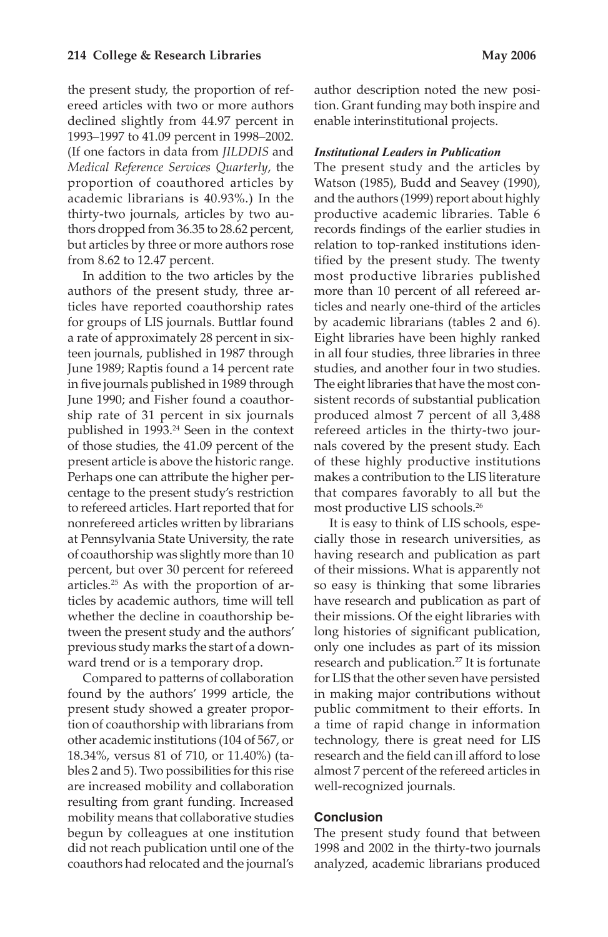declined slightly from 44.97 percent in  *Medical Reference Services Quarterly*, the proportion of coauthored articles by academic librarians is 40.93%.) In the thirty-two journals, articles by two au- thors dropped from 36.35 to 28.62 percent, the present study, the proportion of refereed articles with two or more authors 1993–1997 to 41.09 percent in 1998–2002. (If one factors in data from *JILDDIS* and but articles by three or more authors rose from 8.62 to 12.47 percent.

 authors of the present study, three ar- ticles have reported coauthorship rates in five journals published in 1989 through ship rate of 31 percent in six journals present article is above the historic range. to refereed articles. Hart reported that for of coauthorship was slightly more than 10 articles.25 As with the proportion of ar- previous study marks the start of a down-In addition to the two articles by the for groups of LIS journals. Buttlar found a rate of approximately 28 percent in sixteen journals, published in 1987 through June 1989; Raptis found a 14 percent rate June 1990; and Fisher found a coauthorpublished in 1993.24 Seen in the context of those studies, the 41.09 percent of the Perhaps one can attribute the higher percentage to the present study's restriction nonrefereed articles written by librarians at Pennsylvania State University, the rate percent, but over 30 percent for refereed ticles by academic authors, time will tell whether the decline in coauthorship between the present study and the authors' ward trend or is a temporary drop.

 found by the authors' 1999 article, the other academic institutions (104 of 567, or bles 2 and 5). Two possibilities for this rise mobility means that collaborative studies begun by colleagues at one institution coauthors had relocated and the journal's Compared to patterns of collaboration present study showed a greater proportion of coauthorship with librarians from 18.34%, versus 81 of 710, or 11.40%) (taare increased mobility and collaboration resulting from grant funding. Increased did not reach publication until one of the

 author description noted the new posi- tion. Grant funding may both inspire and enable interinstitutional projects.

### *Institutional Leaders in Publication*

 The present study and the articles by and the authors (1999) report about highly productive academic libraries. Table 6 tified by the present study. The twenty most productive libraries published The eight libraries that have the most con- produced almost 7 percent of all 3,488 refereed articles in the thirty-two jour- of these highly productive institutions that compares favorably to all but the Watson (1985), Budd and Seavey (1990), records findings of the earlier studies in relation to top-ranked institutions idenmore than 10 percent of all refereed articles and nearly one-third of the articles by academic librarians (tables 2 and 6). Eight libraries have been highly ranked in all four studies, three libraries in three studies, and another four in two studies. sistent records of substantial publication nals covered by the present study. Each makes a contribution to the LIS literature most productive LIS schools.26

 cially those in research universities, as so easy is thinking that some libraries for LIS that the other seven have persisted in making major contributions without public commitment to their efforts. In a time of rapid change in information technology, there is great need for LIS research and the field can ill afford to lose almost 7 percent of the refereed articles in It is easy to think of LIS schools, espehaving research and publication as part of their missions. What is apparently not have research and publication as part of their missions. Of the eight libraries with long histories of significant publication, only one includes as part of its mission research and publication.<sup>27</sup> It is fortunate well-recognized journals.

### **Conclusion**

 The present study found that between 1998 and 2002 in the thirty-two journals analyzed, academic librarians produced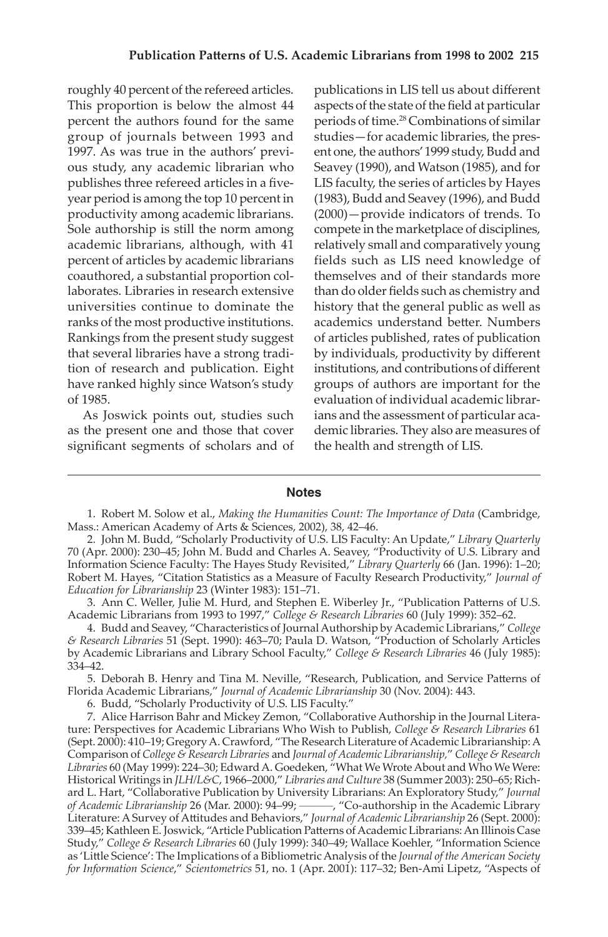roughly 40 percent of the refereed articles. This proportion is below the almost 44 group of journals between 1993 and ous study, any academic librarian who year period is among the top 10 percent in academic librarians, although, with 41 universities continue to dominate the ranks of the most productive institutions. tion of research and publication. Eight percent the authors found for the same 1997. As was true in the authors' previpublishes three refereed articles in a fiveproductivity among academic librarians. Sole authorship is still the norm among percent of articles by academic librarians coauthored, a substantial proportion collaborates. Libraries in research extensive Rankings from the present study suggest that several libraries have a strong tradihave ranked highly since Watson's study of 1985.

 As Joswick points out, studies such significant segments of scholars and of as the present one and those that cover

 aspects of the state of the field at particular periods of time.28 Combinations of similar ent one, the authors'1999 study, Budd and Seavey (1990), and Watson (1985), and for (1983), Budd and Seavey (1996), and Budd compete in the marketplace of disciplines, relatively small and comparatively young fields such as LIS need knowledge of than do older fields such as chemistry and academics understand better. Numbers institutions, and contributions of different ians and the assessment of particular aca- demic libraries. They also are measures of publications in LIS tell us about different studies—for academic libraries, the pres-LIS faculty, the series of articles by Hayes (2000)—provide indicators of trends. To themselves and of their standards more history that the general public as well as of articles published, rates of publication by individuals, productivity by different groups of authors are important for the evaluation of individual academic librarthe health and strength of LIS.

#### **Notes**

1. Robert M. Solow et al., *Making the Humanities Count: The Importance of Data* (Cambridge, Mass.: American Academy of Arts & Sciences, 2002), 38, 42–46.

2. John M. Budd, "Scholarly Productivity of U.S. LIS Faculty: An Update," *Library Quarterly*  70 (Apr. 2000): 230–45; John M. Budd and Charles A. Seavey, "Productivity of U.S. Library and Information Science Faculty: The Hayes Study Revisited," *Library Quarterly* 66 (Jan. 1996): 1–20; Robert M. Hayes, "Citation Statistics as a Measure of Faculty Research Productivity," *Journal of Education for Librarianship* 23 (Winter 1983): 151–71.

3. Ann C. Weller, Julie M. Hurd, and Stephen E. Wiberley Jr., "Publication Patterns of U.S. Academic Librarians from 1993 to 1997," *College & Research Libraries* 60 (July 1999): 352–62.

4. Budd and Seavey, "Characteristics of Journal Authorship by Academic Librarians," *College & Research Libraries* 51 (Sept. 1990): 463–70; Paula D. Watson, "Production of Scholarly Articles by Academic Librarians and Library School Faculty," *College & Research Libraries* 46 (July 1985): 334–42.

5. Deborah B. Henry and Tina M. Neville, "Research, Publication, and Service Patterns of Florida Academic Librarians," *Journal of Academic Librarianship* 30 (Nov. 2004): 443.

6. Budd, "Scholarly Productivity of U.S. LIS Faculty."

 (Sept. 2000): 410–19; Gregory A. Crawford, "The Research Literature of Academic Librarianship: A Comparison of *College & Research Libraries* and *Journal of Academic Librarianship,*" *College & Research Libraries* 60 (May 1999): 224–30; Edward A. Goedeken, "What We Wrote About and Who We Were: Historical Writings in *JLH/L&C*, 1966–2000," *Libraries and Culture* 38 (Summer 2003): 250–65; Rich-339–45; Kathleen E. Joswick, "Article Publication Patterns of Academic Librarians: An Illinois Case 7. Alice Harrison Bahr and Mickey Zemon, "Collaborative Authorship in the Journal Literature: Perspectives for Academic Librarians Who Wish to Publish, *College & Research Libraries* 61 ard L. Hart, "Collaborative Publication by University Librarians: An Exploratory Study," *Journal of Academic Librarianship* 26 (Mar. 2000): 94–99; ———, "Co-authorship in the Academic Library Literature: A Survey of Attitudes and Behaviors," *Journal of Academic Librarianship* 26 (Sept. 2000): Study," *College & Research Libraries* 60 (July 1999): 340–49; Wallace Koehler, "Information Science as 'Little Science': The Implications of a Bibliometric Analysis of the *Journal of the American Society for Information Science*," *Scientometrics* 51, no. 1 (Apr. 2001): 117–32; Ben-Ami Lipetz, "Aspects of